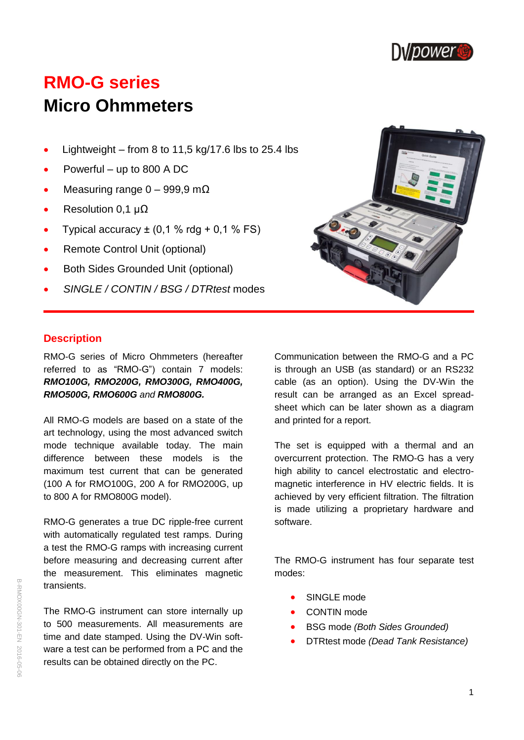

# **RMO-G series Micro Ohmmeters**

- $\bullet$  Lightweight from 8 to 11.5 kg/17.6 lbs to 25.4 lbs
- Powerful up to 800 A DC
- Measuring range  $0 999.9$  m $\Omega$
- Resolution 0,1 μΩ
- Typical accuracy  $\pm$  (0,1 % rdg + 0,1 % FS)
- Remote Control Unit (optional)
- Both Sides Grounded Unit (optional)
- *SINGLE / CONTIN / BSG / DTRtest* modes



## **Description**

RMO-G series of Micro Ohmmeters (hereafter referred to as "RMO-G") contain 7 models: *RMO100G, RMO200G, RMO300G, RMO400G, RMO500G, RMO600G and RMO800G.*

All RMO-G models are based on a state of the art technology, using the most advanced switch mode technique available today. The main difference between these models is the maximum test current that can be generated (100 A for RMO100G, 200 A for RMO200G, up to 800 A for RMO800G model).

RMO-G generates a true DC ripple-free current with automatically regulated test ramps. During a test the RMO-G ramps with increasing current before measuring and decreasing current after the measurement. This eliminates magnetic transients.

The RMO-G instrument can store internally up to 500 measurements. All measurements are time and date stamped. Using the DV-Win software a test can be performed from a PC and the results can be obtained directly on the PC.

Communication between the RMO-G and a PC is through an USB (as standard) or an RS232 cable (as an option). Using the DV-Win the result can be arranged as an Excel spreadsheet which can be later shown as a diagram and printed for a report.

The set is equipped with a thermal and an overcurrent protection. The RMO-G has a very high ability to cancel electrostatic and electromagnetic interference in HV electric fields. It is achieved by very efficient filtration. The filtration is made utilizing a proprietary hardware and software.

The RMO-G instrument has four separate test modes:

- SINGLE mode
- CONTIN mode
- BSG mode *(Both Sides Grounded)*
- DTRtest mode *(Dead Tank Resistance)*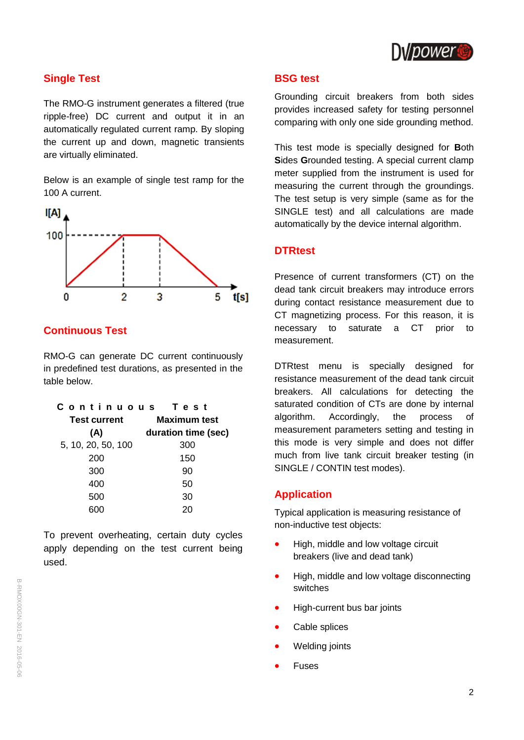

## **Single Test**

The RMO-G instrument generates a filtered (true ripple-free) DC current and output it in an automatically regulated current ramp. By sloping the current up and down, magnetic transients are virtually eliminated.

Below is an example of single test ramp for the 100 A current.



## **Continuous Test**

RMO-G can generate DC current continuously in predefined test durations, as presented in the table below.

| Continuous          | Test                |  |  |
|---------------------|---------------------|--|--|
| <b>Test current</b> | <b>Maximum test</b> |  |  |
| (A)                 | duration time (sec) |  |  |
| 5, 10, 20, 50, 100  | 300                 |  |  |
| 200                 | 150                 |  |  |
| 300                 | 90                  |  |  |
| 400                 | 50                  |  |  |
| 500                 | 30                  |  |  |
|                     |                     |  |  |

To prevent overheating, certain duty cycles apply depending on the test current being used.

#### **BSG test**

Grounding circuit breakers from both sides provides increased safety for testing personnel comparing with only one side grounding method.

This test mode is specially designed for **B**oth **S**ides **G**rounded testing. A special current clamp meter supplied from the instrument is used for measuring the current through the groundings. The test setup is very simple (same as for the SINGLE test) and all calculations are made automatically by the device internal algorithm.

#### **DTRtest**

Presence of current transformers (CT) on the dead tank circuit breakers may introduce errors during contact resistance measurement due to CT magnetizing process. For this reason, it is necessary to saturate a CT prior to measurement.

DTRtest menu is specially designed for resistance measurement of the dead tank circuit breakers. All calculations for detecting the saturated condition of CTs are done by internal algorithm. Accordingly, the process of measurement parameters setting and testing in this mode is very simple and does not differ much from live tank circuit breaker testing (in SINGLE / CONTIN test modes).

#### **Application**

Typical application is measuring resistance of non-inductive test objects:

- High, middle and low voltage circuit breakers (live and dead tank)
- High, middle and low voltage disconnecting switches
- High-current bus bar joints
- Cable splices
- Welding joints
- Fuses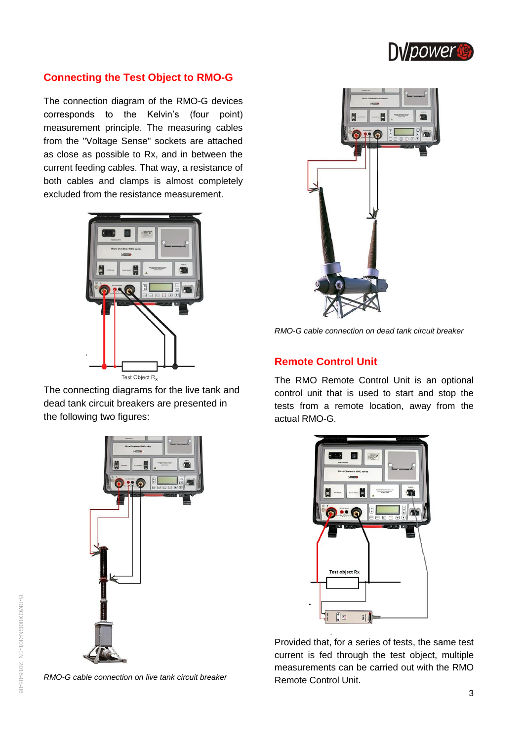

## **Connecting the Test Object to RMO-G**

The connection diagram of the RMO-G devices corresponds to the Kelvin's (four point) measurement principle. The measuring cables from the "Voltage Sense" sockets are attached as close as possible to Rx, and in between the current feeding cables. That way, a resistance of both cables and clamps is almost completely excluded from the resistance measurement.



The connecting diagrams for the live tank and dead tank circuit breakers are presented in the following two figures:







*RMO-G cable connection on dead tank circuit breaker*

## **Remote Control Unit**

The RMO Remote Control Unit is an optional control unit that is used to start and stop the tests from a remote location, away from the actual RMO-G.



Provided that, for a series of tests, the same test current is fed through the test object, multiple measurements can be carried out with the RMO Remote Control Unit.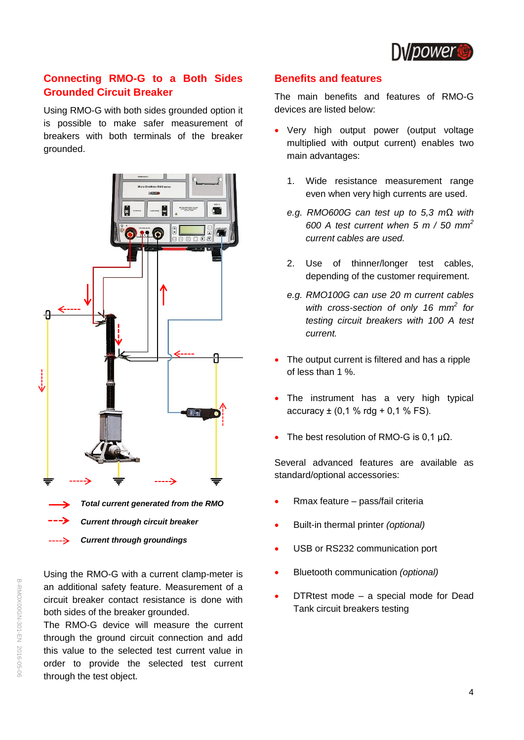

## **Connecting RMO-G to a Both Sides Grounded Circuit Breaker**

Using RMO-G with both sides grounded option it is possible to make safer measurement of breakers with both terminals of the breaker grounded.



Using the RMO-G with a current clamp-meter is an additional safety feature. Measurement of a circuit breaker contact resistance is done with both sides of the breaker grounded.

The RMO-G device will measure the current through the ground circuit connection and add this value to the selected test current value in order to provide the selected test current through the test object.

#### **Benefits and features**

The main benefits and features of RMO-G devices are listed below:

- Very high output power (output voltage multiplied with output current) enables two main advantages:
	- 1. Wide resistance measurement range even when very high currents are used.
	- *e.g. RMO600G can test up to 5,3 mΩ with 600 A test current when 5 m / 50 mm<sup>2</sup> current cables are used.*
	- 2. Use of thinner/longer test cables, depending of the customer requirement.
	- *e.g. RMO100G can use 20 m current cables with cross-section of only 16 mm<sup>2</sup> for testing circuit breakers with 100 A test current.*
- The output current is filtered and has a ripple of less than 1 %.
- The instrument has a very high typical  $accuracy \pm (0.1 % \text{rdg} + 0.1 % FS).$
- The best resolution of RMO-G is 0,1  $\mu\Omega$ .

Several advanced features are available as standard/optional accessories:

- Rmax feature pass/fail criteria
- Built-in thermal printer *(optional)*
- USB or RS232 communication port
- Bluetooth communication *(optional)*
- DTRtest mode *–* a special mode for Dead Tank circuit breakers testing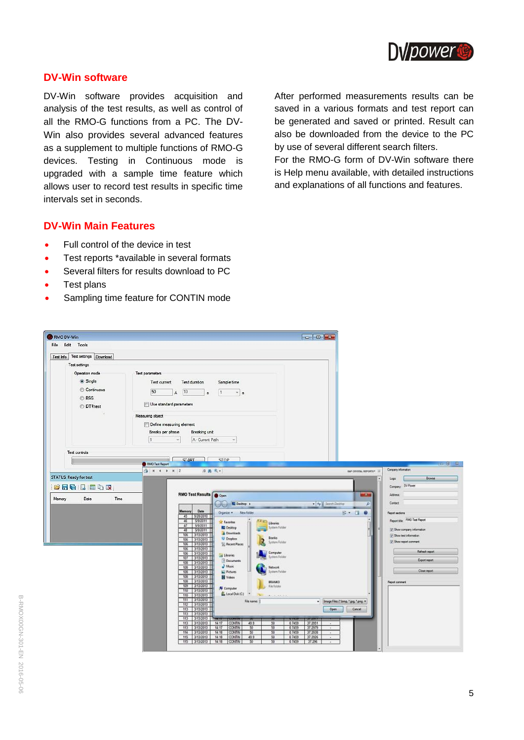

#### **DV-Win software**

DV-Win software provides acquisition and analysis of the test results, as well as control of all the RMO-G functions from a PC. The DV-Win also provides several advanced features as a supplement to multiple functions of RMO-G devices. Testing in Continuous mode is upgraded with a sample time feature which allows user to record test results in specific time intervals set in seconds.

After performed measurements results can be saved in a various formats and test report can be generated and saved or printed. Result can also be downloaded from the device to the PC by use of several different search filters.

For the RMO-G form of DV-Win software there is Help menu available, with detailed instructions and explanations of all functions and features.

## **DV-Win Main Features**

- Full control of the device in test
- Test reports \*available in several formats
- Several filters for results download to PC
- Test plans
- Sampling time feature for CONTIN mode

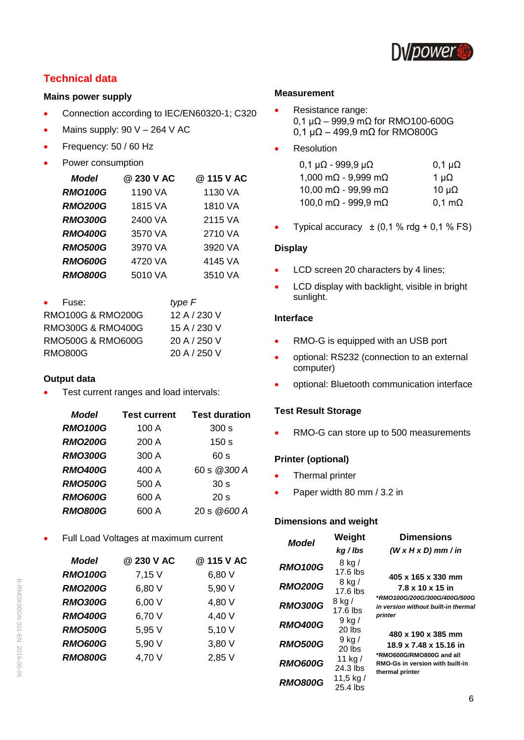

## **Technical data**

#### **Mains power supply**

- **Connection according to IEC/EN60320-1; C320**
- Mains supply: 90 V 264 V AC
- Frequency: 50 / 60 Hz
- Power consumption

| <b>Model</b>   | @ 230 V AC | @ 115 V AC |
|----------------|------------|------------|
| <b>RMO100G</b> | 1190 VA    | 1130 VA    |
| <b>RMO200G</b> | 1815 VA    | 1810 VA    |
| <b>RMO300G</b> | 2400 VA    | 2115 VA    |
| <b>RMO400G</b> | 3570 VA    | 2710 VA    |
| <b>RMO500G</b> | 3970 VA    | 3920 VA    |
| <b>RMO600G</b> | 4720 VA    | 4145 VA    |
| <b>RMO800G</b> | 5010 VA    | 3510 VA    |

| Fuse:<br>$\bullet$           | type F       |
|------------------------------|--------------|
| <b>RMO100G &amp; RMO200G</b> | 12 A / 230 V |
| <b>RMO300G &amp; RMO400G</b> | 15 A / 230 V |
| <b>RMO500G &amp; RMO600G</b> | 20 A / 250 V |
| RMO800G                      | 20 A / 250 V |

#### **Output data**

Test current ranges and load intervals:

| <b>Model</b>   | <b>Test current</b> | <b>Test duration</b>  |
|----------------|---------------------|-----------------------|
| <b>RMO100G</b> | 100 A               | 300 s                 |
| <b>RMO200G</b> | 200 A               | 150 <sub>s</sub>      |
| <b>RMO300G</b> | 300 A               | 60 s                  |
| <b>RMO400G</b> | 400 A               | 60 s @300 A           |
| <b>RMO500G</b> | 500 A               | 30 <sub>s</sub>       |
| <b>RMO600G</b> | 600 A               | 20 <sub>s</sub>       |
| <b>RMO800G</b> | 600 A               | $20 \text{ s}$ @600 A |

• Full Load Voltages at maximum current

| <b>Model</b>   | @ 230 V AC | @ 115 V AC |
|----------------|------------|------------|
| <b>RMO100G</b> | 7,15 V     | 6,80 V     |
| <b>RMO200G</b> | 6,80 V     | 5,90 V     |
| <b>RMO300G</b> | 6,00 V     | 4,80 V     |
| <b>RMO400G</b> | 6,70 V     | 4,40 V     |
| <b>RMO500G</b> | 5,95 V     | 5,10 V     |
| <b>RMO600G</b> | 5,90 V     | 3,80 V     |
| <b>RMO800G</b> | 4,70 V     | 2,85 V     |
|                |            |            |

#### **Measurement**

- Resistance range: 0,1 µΩ – 999,9 mΩ for RMO100-600G 0,1 µΩ – 499,9 mΩ for RMO800G
- Resolution

| $0,1 \mu\Omega$ - 999,9 $\mu\Omega$ | $0,1 \mu\Omega$       |
|-------------------------------------|-----------------------|
| 1,000 m $\Omega$ - 9,999 m $\Omega$ | 1 $\mu\Omega$         |
| 10,00 m $\Omega$ - 99,99 m $\Omega$ | 10 $\mu\Omega$        |
| 100,0 m $\Omega$ - 999,9 m $\Omega$ | $0,1 \text{ m}\Omega$ |

• Typical accuracy  $\pm (0.1 % \text{rdg} + 0.1 % \text{FS})$ 

#### **Display**

- LCD screen 20 characters by 4 lines;
- LCD display with backlight, visible in bright sunlight.

#### **Interface**

- RMO-G is equipped with an USB port
- optional: RS232 (connection to an external computer)
- optional: Bluetooth communication interface

#### **Test Result Storage**

• RMO-G can store up to 500 measurements

#### **Printer (optional)**

- Thermal printer
- Paper width 80 mm / 3.2 in

#### **Dimensions and weight**

| Model                            | Weight<br>kg/lbs              | <b>Dimensions</b><br>$(W \times H \times D)$ mm / in |
|----------------------------------|-------------------------------|------------------------------------------------------|
| <b>RMO100G</b>                   | 8 kg /<br>17.6 lbs            | 405 x 165 x 330 mm                                   |
| <b>RMO200G</b>                   | 8 kg/<br>17.6 lbs             | 7.8 x 10 x 15 in<br>*RMO100G/200G/300G/400G/500G     |
| <b>RMO300G</b>                   | 8 kg /<br>17.6 lbs            | in version without built-in thermal<br>printer       |
| <b>RMO400G</b>                   | 9 kg /<br>20 lbs              | 480 x 190 x 385 mm                                   |
| <b>RMO500G</b>                   | 9 kg /<br>20 lbs<br>11 kg $/$ | 18.9 x 7.48 x 15.16 in<br>*RMO600G/RMO800G and all   |
| <b>RMO600G</b><br><b>RMO800G</b> | 24.3 lbs<br>11,5 kg /         | RMO-Gs in version with built-in<br>thermal printer   |
|                                  | 25.4 lbs                      |                                                      |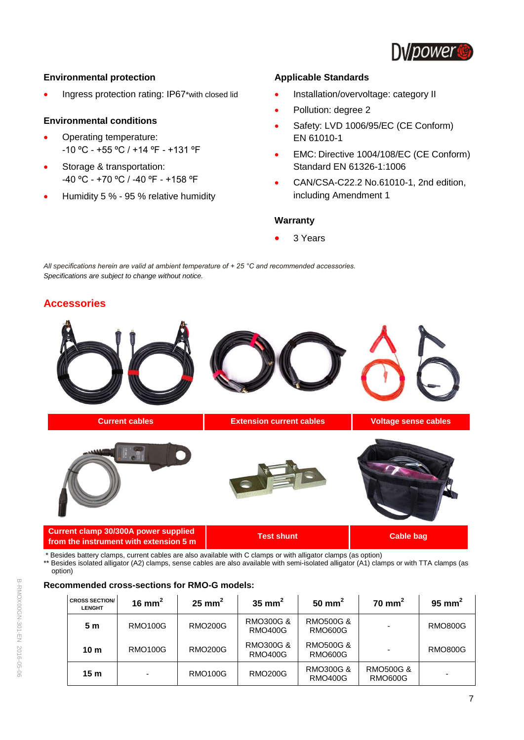

#### **Environmental protection**

• Ingress protection rating: IP67\*with closed lid

#### **Environmental conditions**

- Operating temperature: -10 ºC - +55 ºC / +14 ºF - +131 ºF
- Storage & transportation: -40 ºC - +70 ºC / -40 ºF - +158 ºF
- Humidity 5 % 95 % relative humidity

#### **Applicable Standards**

- Installation/overvoltage: category II
- Pollution: degree 2
- Safety: LVD 1006/95/EC (CE Conform) EN 61010-1
- EMC: Directive 1004/108/EC (CE Conform) Standard EN 61326-1:1006
- CAN/CSA-C22.2 No.61010-1, 2nd edition, including Amendment 1

#### **Warranty**

3 Years

*All specifications herein are valid at ambient temperature of + 25 °C and recommended accessories. Specifications are subject to change without notice.*

## **Accessories**



\* Besides battery clamps, current cables are also available with C clamps or with alligator clamps (as option)

\*\* Besides isolated alligator (A2) clamps, sense cables are also available with semi-isolated alligator (A1) clamps or with TTA clamps (as option)

#### **Recommended cross-sections for RMO-G models:**

| <b>CROSS SECTION/</b><br><b>LENGHT</b> | 16 mm <sup>2</sup> | $25 \text{ mm}^2$ | 35 mm <sup>2</sup>          | 50 mm <sup>2</sup>                     | $70 \text{ mm}^2$               | 95 mm <sup>2</sup> |
|----------------------------------------|--------------------|-------------------|-----------------------------|----------------------------------------|---------------------------------|--------------------|
| 5 m                                    | <b>RMO100G</b>     | <b>RMO200G</b>    | RMO300G &<br><b>RMO400G</b> | <b>RMO500G &amp;</b><br><b>RMO600G</b> |                                 | <b>RMO800G</b>     |
| 10 <sub>m</sub>                        | <b>RMO100G</b>     | <b>RMO200G</b>    | RMO300G &<br><b>RMO400G</b> | RMO500G &<br><b>RMO600G</b>            |                                 | <b>RMO800G</b>     |
| 15 <sub>m</sub>                        |                    | <b>RMO100G</b>    | <b>RMO200G</b>              | RMO300G &<br><b>RMO400G</b>            | <b>RMO500G &amp;</b><br>RMO600G |                    |